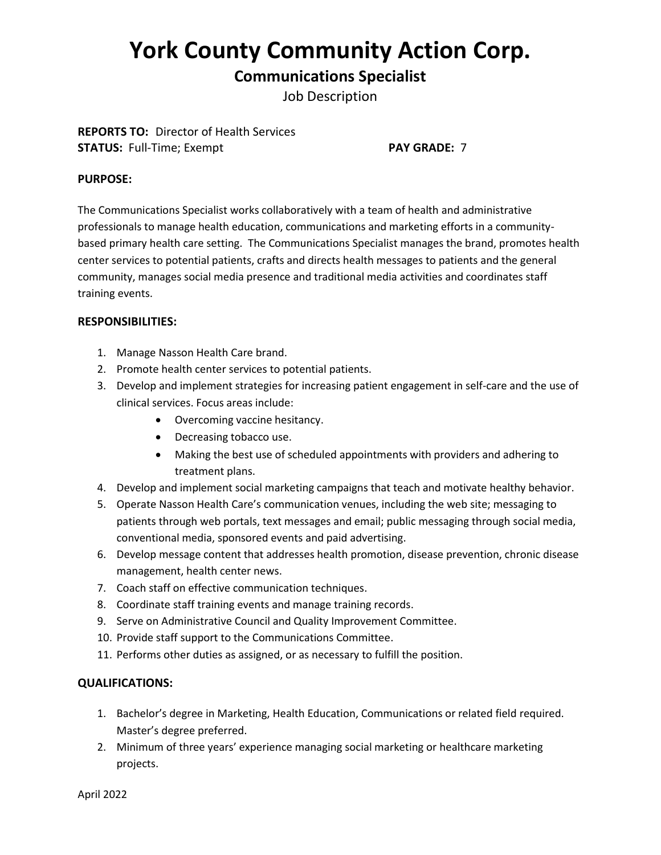# **York County Community Action Corp.**

# **Communications Specialist**

Job Description

**REPORTS TO:** Director of Health Services **STATUS:** Full-Time; Exempt **PAY GRADE:** 7

#### **PURPOSE:**

The Communications Specialist works collaboratively with a team of health and administrative professionals to manage health education, communications and marketing efforts in a communitybased primary health care setting. The Communications Specialist manages the brand, promotes health center services to potential patients, crafts and directs health messages to patients and the general community, manages social media presence and traditional media activities and coordinates staff training events.

#### **RESPONSIBILITIES:**

- 1. Manage Nasson Health Care brand.
- 2. Promote health center services to potential patients.
- 3. Develop and implement strategies for increasing patient engagement in self-care and the use of clinical services. Focus areas include:
	- Overcoming vaccine hesitancy.
	- Decreasing tobacco use.
	- Making the best use of scheduled appointments with providers and adhering to treatment plans.
- 4. Develop and implement social marketing campaigns that teach and motivate healthy behavior.
- 5. Operate Nasson Health Care's communication venues, including the web site; messaging to patients through web portals, text messages and email; public messaging through social media, conventional media, sponsored events and paid advertising.
- 6. Develop message content that addresses health promotion, disease prevention, chronic disease management, health center news.
- 7. Coach staff on effective communication techniques.
- 8. Coordinate staff training events and manage training records.
- 9. Serve on Administrative Council and Quality Improvement Committee.
- 10. Provide staff support to the Communications Committee.
- 11. Performs other duties as assigned, or as necessary to fulfill the position.

#### **QUALIFICATIONS:**

- 1. Bachelor's degree in Marketing, Health Education, Communications or related field required. Master's degree preferred.
- 2. Minimum of three years' experience managing social marketing or healthcare marketing projects.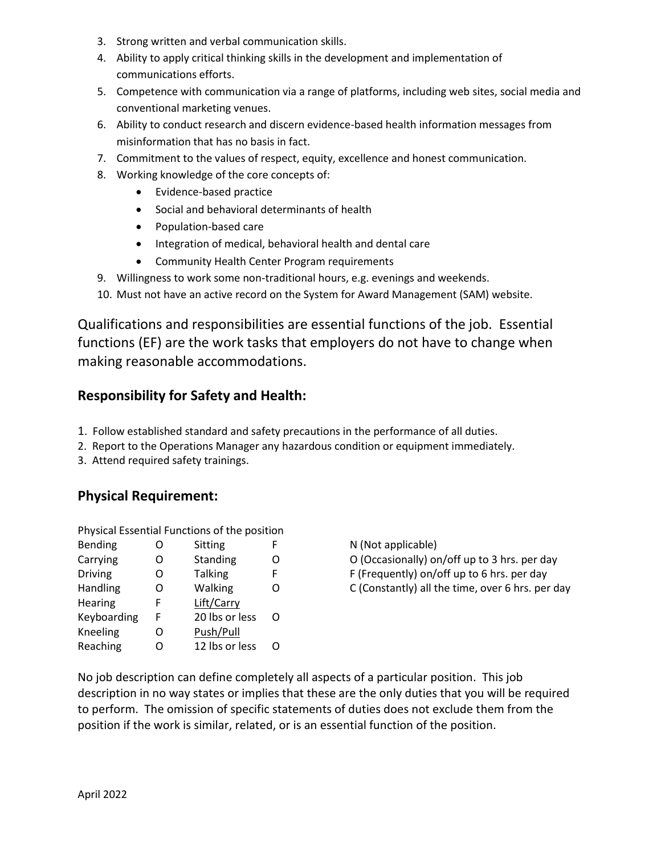- 3. Strong written and verbal communication skills.
- 4. Ability to apply critical thinking skills in the development and implementation of communications efforts.
- 5. Competence with communication via a range of platforms, including web sites, social media and conventional marketing venues.
- 6. Ability to conduct research and discern evidence-based health information messages from misinformation that has no basis in fact.
- 7. Commitment to the values of respect, equity, excellence and honest communication.
- 8. Working knowledge of the core concepts of:
	- Evidence-based practice
	- Social and behavioral determinants of health
	- Population-based care
	- Integration of medical, behavioral health and dental care
	- Community Health Center Program requirements
- 9. Willingness to work some non-traditional hours, e.g. evenings and weekends.
- 10. Must not have an active record on the System for Award Management (SAM) website.

Qualifications and responsibilities are essential functions of the job. Essential functions (EF) are the work tasks that employers do not have to change when making reasonable accommodations.

## **Responsibility for Safety and Health:**

- 1. Follow established standard and safety precautions in the performance of all duties.
- 2. Report to the Operations Manager any hazardous condition or equipment immediately.
- 3. Attend required safety trainings.

## **Physical Requirement:**

Physical Essential Functions of the position

| O | Sitting        | F |
|---|----------------|---|
| Ω | Standing       | Ω |
| ი | <b>Talking</b> | F |
| Ω | Walking        | O |
| F | Lift/Carry     |   |
| F | 20 lbs or less | ∩ |
| ი | Push/Pull      |   |
| ∩ | 12 lbs or less | ∩ |
|   |                |   |

N (Not applicable)

O (Occasionally) on/off up to 3 hrs. per day

F (Frequently) on/off up to 6 hrs. per day

C (Constantly) all the time, over 6 hrs. per day

No job description can define completely all aspects of a particular position. This job description in no way states or implies that these are the only duties that you will be required to perform. The omission of specific statements of duties does not exclude them from the position if the work is similar, related, or is an essential function of the position.